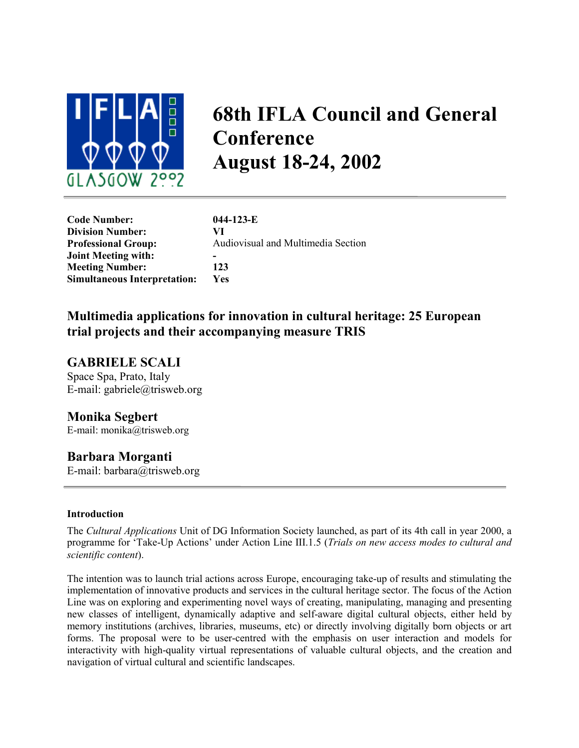

# **68th IFLA Council and General Conference August 18-24, 2002**

| <b>Code Number:</b>                 | $044 - 123 - E$                    |
|-------------------------------------|------------------------------------|
| <b>Division Number:</b>             | VI                                 |
| <b>Professional Group:</b>          | Audiovisual and Multimedia Section |
| <b>Joint Meeting with:</b>          |                                    |
| <b>Meeting Number:</b>              | 123                                |
| <b>Simultaneous Interpretation:</b> | <b>Yes</b>                         |

# **Multimedia applications for innovation in cultural heritage: 25 European trial projects and their accompanying measure TRIS**

## **GABRIELE SCALI**

Space Spa, Prato, Italy E-mail: gabriele@trisweb.org

## **Monika Segbert**

E-mail: [monika@trisweb.org](mailto:monika@trisweb.org;)

## **Barbara Morganti**

E-mail: barbara@trisweb.org

#### **Introduction**

The *Cultural Applications* Unit of DG Information Society launched, as part of its 4th call in year 2000, a programme for 'Take-Up Actions' under Action Line III.1.5 (*Trials on new access modes to cultural and scientific content*).

The intention was to launch trial actions across Europe, encouraging take-up of results and stimulating the implementation of innovative products and services in the cultural heritage sector. The focus of the Action Line was on exploring and experimenting novel ways of creating, manipulating, managing and presenting new classes of intelligent, dynamically adaptive and self-aware digital cultural objects, either held by memory institutions (archives, libraries, museums, etc) or directly involving digitally born objects or art forms. The proposal were to be user-centred with the emphasis on user interaction and models for interactivity with high-quality virtual representations of valuable cultural objects, and the creation and navigation of virtual cultural and scientific landscapes.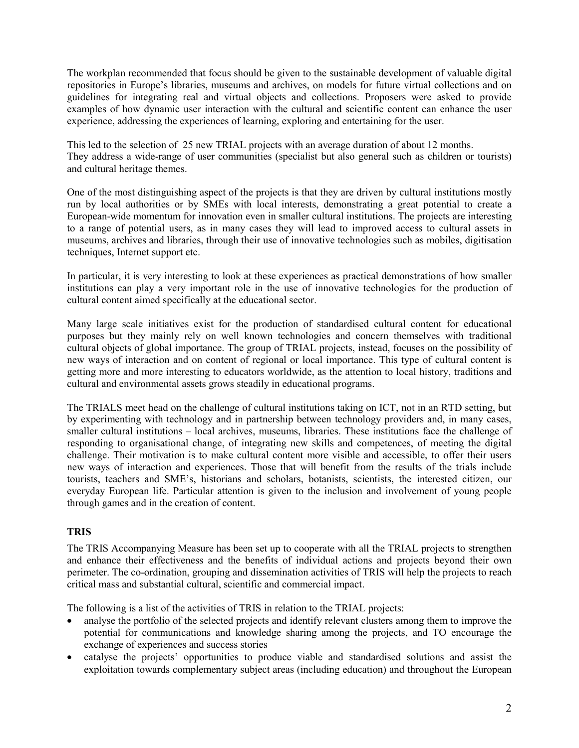The workplan recommended that focus should be given to the sustainable development of valuable digital repositories in Europe's libraries, museums and archives, on models for future virtual collections and on guidelines for integrating real and virtual objects and collections. Proposers were asked to provide examples of how dynamic user interaction with the cultural and scientific content can enhance the user experience, addressing the experiences of learning, exploring and entertaining for the user.

This led to the selection of 25 new TRIAL projects with an average duration of about 12 months. They address a wide-range of user communities (specialist but also general such as children or tourists) and cultural heritage themes.

One of the most distinguishing aspect of the projects is that they are driven by cultural institutions mostly run by local authorities or by SMEs with local interests, demonstrating a great potential to create a European-wide momentum for innovation even in smaller cultural institutions. The projects are interesting to a range of potential users, as in many cases they will lead to improved access to cultural assets in museums, archives and libraries, through their use of innovative technologies such as mobiles, digitisation techniques, Internet support etc.

In particular, it is very interesting to look at these experiences as practical demonstrations of how smaller institutions can play a very important role in the use of innovative technologies for the production of cultural content aimed specifically at the educational sector.

Many large scale initiatives exist for the production of standardised cultural content for educational purposes but they mainly rely on well known technologies and concern themselves with traditional cultural objects of global importance. The group of TRIAL projects, instead, focuses on the possibility of new ways of interaction and on content of regional or local importance. This type of cultural content is getting more and more interesting to educators worldwide, as the attention to local history, traditions and cultural and environmental assets grows steadily in educational programs.

The TRIALS meet head on the challenge of cultural institutions taking on ICT, not in an RTD setting, but by experimenting with technology and in partnership between technology providers and, in many cases, smaller cultural institutions – local archives, museums, libraries. These institutions face the challenge of responding to organisational change, of integrating new skills and competences, of meeting the digital challenge. Their motivation is to make cultural content more visible and accessible, to offer their users new ways of interaction and experiences. Those that will benefit from the results of the trials include tourists, teachers and SME's, historians and scholars, botanists, scientists, the interested citizen, our everyday European life. Particular attention is given to the inclusion and involvement of young people through games and in the creation of content.

### **TRIS**

The TRIS Accompanying Measure has been set up to cooperate with all the TRIAL projects to strengthen and enhance their effectiveness and the benefits of individual actions and projects beyond their own perimeter. The co-ordination, grouping and dissemination activities of TRIS will help the projects to reach critical mass and substantial cultural, scientific and commercial impact.

The following is a list of the activities of TRIS in relation to the TRIAL projects:

- analyse the portfolio of the selected projects and identify relevant clusters among them to improve the potential for communications and knowledge sharing among the projects, and TO encourage the exchange of experiences and success stories
- catalyse the projects' opportunities to produce viable and standardised solutions and assist the exploitation towards complementary subject areas (including education) and throughout the European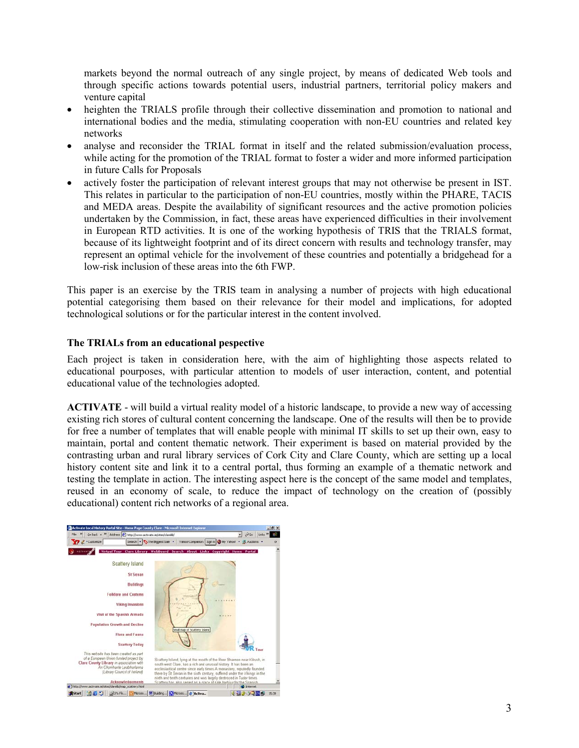markets beyond the normal outreach of any single project, by means of dedicated Web tools and through specific actions towards potential users, industrial partners, territorial policy makers and venture capital

- heighten the TRIALS profile through their collective dissemination and promotion to national and international bodies and the media, stimulating cooperation with non-EU countries and related key networks
- analyse and reconsider the TRIAL format in itself and the related submission/evaluation process, while acting for the promotion of the TRIAL format to foster a wider and more informed participation in future Calls for Proposals
- actively foster the participation of relevant interest groups that may not otherwise be present in IST. This relates in particular to the participation of non-EU countries, mostly within the PHARE, TACIS and MEDA areas. Despite the availability of significant resources and the active promotion policies undertaken by the Commission, in fact, these areas have experienced difficulties in their involvement in European RTD activities. It is one of the working hypothesis of TRIS that the TRIALS format, because of its lightweight footprint and of its direct concern with results and technology transfer, may represent an optimal vehicle for the involvement of these countries and potentially a bridgehead for a low-risk inclusion of these areas into the 6th FWP.

This paper is an exercise by the TRIS team in analysing a number of projects with high educational potential categorising them based on their relevance for their model and implications, for adopted technological solutions or for the particular interest in the content involved.

#### **The TRIALs from an educational pespective**

Each project is taken in consideration here, with the aim of highlighting those aspects related to educational pourposes, with particular attention to models of user interaction, content, and potential educational value of the technologies adopted.

**ACTIVATE** - will build a virtual reality model of a historic landscape, to provide a new way of accessing existing rich stores of cultural content concerning the landscape. One of the results will then be to provide for free a number of templates that will enable people with minimal IT skills to set up their own, easy to maintain, portal and content thematic network. Their experiment is based on material provided by the contrasting urban and rural library services of Cork City and Clare County, which are setting up a local history content site and link it to a central portal, thus forming an example of a thematic network and testing the template in action. The interesting aspect here is the concept of the same model and templates, reused in an economy of scale, to reduce the impact of technology on the creation of (possibly educational) content rich networks of a regional area.

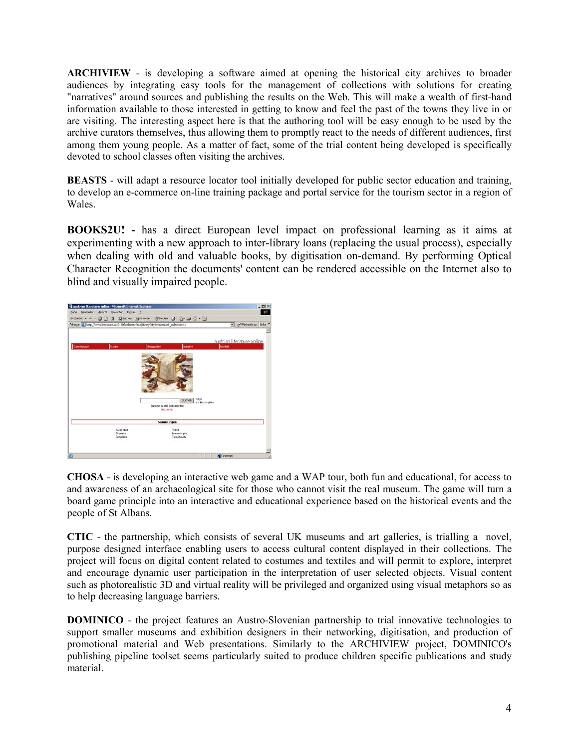**ARCHIVIEW** - is developing a software aimed at opening the historical city archives to broader audiences by integrating easy tools for the management of collections with solutions for creating "narratives" around sources and publishing the results on the Web. This will make a wealth of first-hand information available to those interested in getting to know and feel the past of the towns they live in or are visiting. The interesting aspect here is that the authoring tool will be easy enough to be used by the archive curators themselves, thus allowing them to promptly react to the needs of different audiences, first among them young people. As a matter of fact, some of the trial content being developed is specifically devoted to school classes often visiting the archives.

**BEASTS** - will adapt a resource locator tool initially developed for public sector education and training, to develop an e-commerce on-line training package and portal service for the tourism sector in a region of Wales.

**BOOKS2U! -** has a direct European level impact on professional learning as it aims at experimenting with a new approach to inter-library loans (replacing the usual process), especially when dealing with old and valuable books, by digitisation on-demand. By performing Optical Character Recognition the documents' content can be rendered accessible on the Internet also to blind and visually impaired people.



**CHOSA** - is developing an interactive web game and a WAP tour, both fun and educational, for access to and awareness of an archaeological site for those who cannot visit the real museum. The game will turn a board game principle into an interactive and educational experience based on the historical events and the people of St Albans.

**CTIC** - the partnership, which consists of several UK museums and art galleries, is trialling a novel, purpose designed interface enabling users to access cultural content displayed in their collections. The project will focus on digital content related to costumes and textiles and will permit to explore, interpret and encourage dynamic user participation in the interpretation of user selected objects. Visual content such as photorealistic 3D and virtual reality will be privileged and organized using visual metaphors so as to help decreasing language barriers.

**DOMINICO** - the project features an Austro-Slovenian partnership to trial innovative technologies to support smaller museums and exhibition designers in their networking, digitisation, and production of promotional material and Web presentations. Similarly to the ARCHIVIEW project, DOMINICO's publishing pipeline toolset seems particularly suited to produce children specific publications and study material.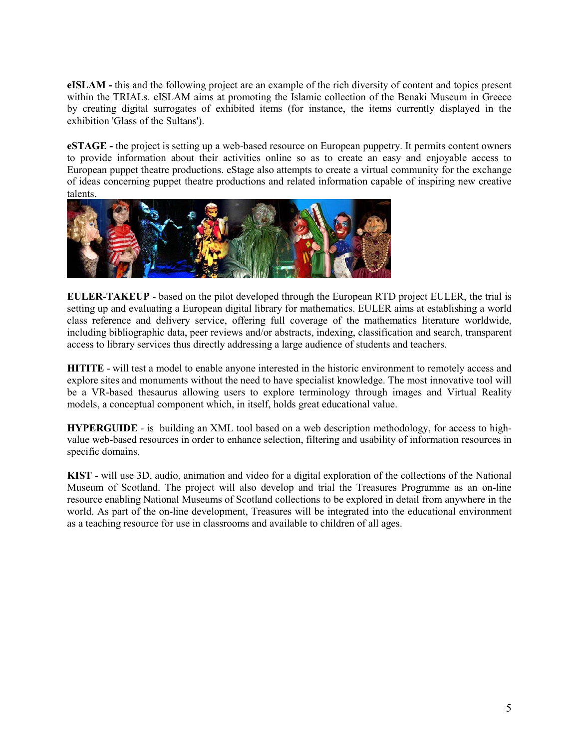**eISLAM -** this and the following project are an example of the rich diversity of content and topics present within the TRIALs. eISLAM aims at promoting the Islamic collection of the Benaki Museum in Greece by creating digital surrogates of exhibited items (for instance, the items currently displayed in the exhibition 'Glass of the Sultans').

**eSTAGE** - the project is setting up a web-based resource on European puppetry. It permits content owners to provide information about their activities online so as to create an easy and enjoyable access to European puppet theatre productions. eStage also attempts to create a virtual community for the exchange of ideas concerning puppet theatre productions and related information capable of inspiring new creative talents.



**EULER-TAKEUP** - based on the pilot developed through the European RTD project EULER, the trial is setting up and evaluating a European digital library for mathematics. EULER aims at establishing a world class reference and delivery service, offering full coverage of the mathematics literature worldwide, including bibliographic data, peer reviews and/or abstracts, indexing, classification and search, transparent access to library services thus directly addressing a large audience of students and teachers.

**HITITE** - will test a model to enable anyone interested in the historic environment to remotely access and explore sites and monuments without the need to have specialist knowledge. The most innovative tool will be a VR-based thesaurus allowing users to explore terminology through images and Virtual Reality models, a conceptual component which, in itself, holds great educational value.

**HYPERGUIDE** - is building an XML tool based on a web description methodology, for access to highvalue web-based resources in order to enhance selection, filtering and usability of information resources in specific domains.

**KIST** - will use 3D, audio, animation and video for a digital exploration of the collections of the National Museum of Scotland. The project will also develop and trial the Treasures Programme as an on-line resource enabling National Museums of Scotland collections to be explored in detail from anywhere in the world. As part of the on-line development, Treasures will be integrated into the educational environment as a teaching resource for use in classrooms and available to children of all ages.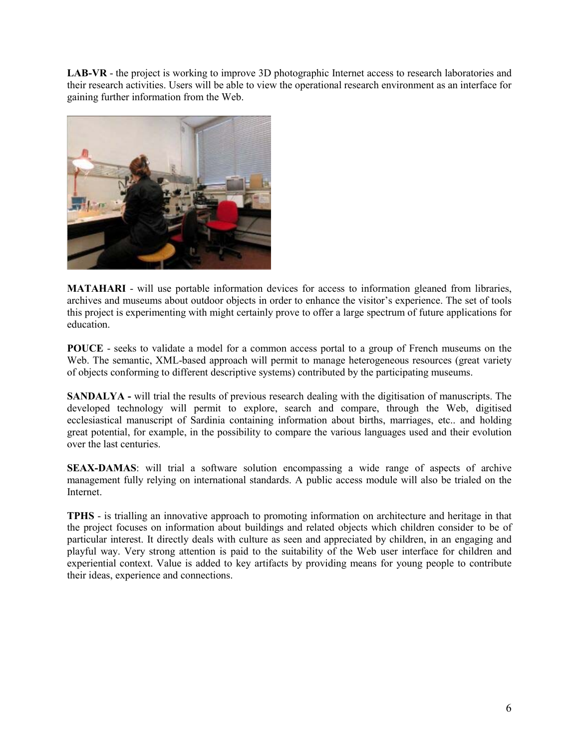**LAB-VR** - the project is working to improve 3D photographic Internet access to research laboratories and their research activities. Users will be able to view the operational research environment as an interface for gaining further information from the Web.



**MATAHARI** - will use portable information devices for access to information gleaned from libraries, archives and museums about outdoor objects in order to enhance the visitor's experience. The set of tools this project is experimenting with might certainly prove to offer a large spectrum of future applications for education.

**POUCE** - seeks to validate a model for a common access portal to a group of French museums on the Web. The semantic, XML-based approach will permit to manage heterogeneous resources (great variety of objects conforming to different descriptive systems) contributed by the participating museums.

**SANDALYA -** will trial the results of previous research dealing with the digitisation of manuscripts. The developed technology will permit to explore, search and compare, through the Web, digitised ecclesiastical manuscript of Sardinia containing information about births, marriages, etc.. and holding great potential, for example, in the possibility to compare the various languages used and their evolution over the last centuries.

**SEAX-DAMAS**: will trial a software solution encompassing a wide range of aspects of archive management fully relying on international standards. A public access module will also be trialed on the Internet.

**TPHS** - is trialling an innovative approach to promoting information on architecture and heritage in that the project focuses on information about buildings and related objects which children consider to be of particular interest. It directly deals with culture as seen and appreciated by children, in an engaging and playful way. Very strong attention is paid to the suitability of the Web user interface for children and experiential context. Value is added to key artifacts by providing means for young people to contribute their ideas, experience and connections.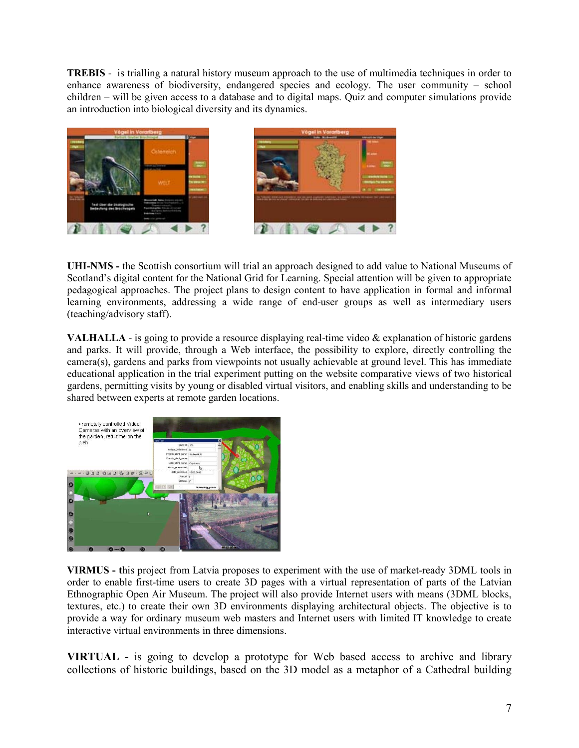**TREBIS** - is trialling a natural history museum approach to the use of multimedia techniques in order to enhance awareness of biodiversity, endangered species and ecology. The user community – school children – will be given access to a database and to digital maps. Quiz and computer simulations provide an introduction into biological diversity and its dynamics.





**UHI-NMS -** the Scottish consortium will trial an approach designed to add value to National Museums of Scotland's digital content for the National Grid for Learning. Special attention will be given to appropriate pedagogical approaches. The project plans to design content to have application in formal and informal learning environments, addressing a wide range of end-user groups as well as intermediary users (teaching/advisory staff).

**VALHALLA** - is going to provide a resource displaying real-time video & explanation of historic gardens and parks. It will provide, through a Web interface, the possibility to explore, directly controlling the camera(s), gardens and parks from viewpoints not usually achievable at ground level. This has immediate educational application in the trial experiment putting on the website comparative views of two historical gardens, permitting visits by young or disabled virtual visitors, and enabling skills and understanding to be shared between experts at remote garden locations.



**VIRMUS - t**his project from Latvia proposes to experiment with the use of market-ready 3DML tools in order to enable first-time users to create 3D pages with a virtual representation of parts of the Latvian Ethnographic Open Air Museum. The project will also provide Internet users with means (3DML blocks, textures, etc.) to create their own 3D environments displaying architectural objects. The objective is to provide a way for ordinary museum web masters and Internet users with limited IT knowledge to create interactive virtual environments in three dimensions.

**VIRTUAL -** is going to develop a prototype for Web based access to archive and library collections of historic buildings, based on the 3D model as a metaphor of a Cathedral building